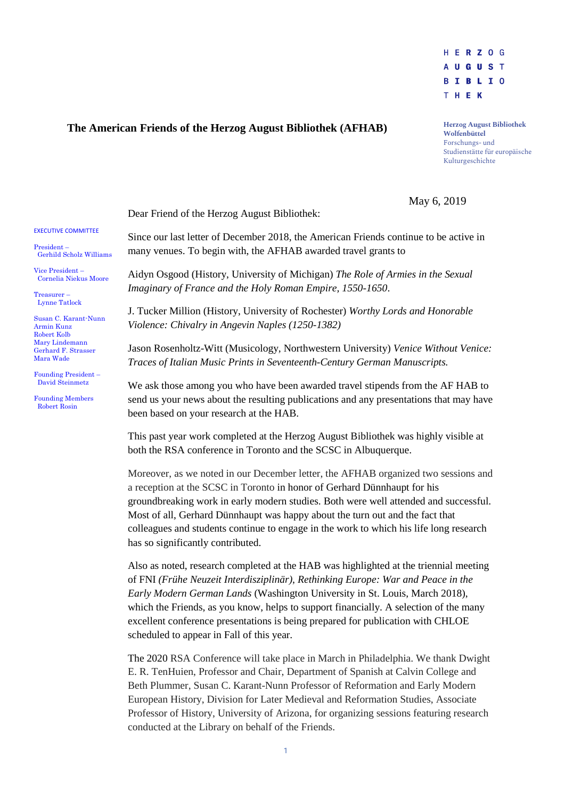

## **The American Friends of the Herzog August Bibliothek (AFHAB)**

**Herzog August Bibliothek Wolfenbüttel** Forschungs- und Studienstätte für europäische Kulturgeschichte

May 6, 2019

Dear Friend of the Herzog August Bibliothek:

Since our last letter of December 2018, the American Friends continue to be active in many venues. To begin with, the AFHAB awarded travel grants to

Aidyn Osgood (History, University of Michigan) *The Role of Armies in the Sexual Imaginary of France and the Holy Roman Empire, 1550-1650*.

J. Tucker Million (History, University of Rochester) *Worthy Lords and Honorable Violence: Chivalry in Angevin Naples (1250-1382)*

Jason Rosenholtz-Witt (Musicology, Northwestern University) *Venice Without Venice: Traces of Italian Music Prints in Seventeenth-Century German Manuscripts.*

We ask those among you who have been awarded travel stipends from the AF HAB to send us your news about the resulting publications and any presentations that may have been based on your research at the HAB.

This past year work completed at the Herzog August Bibliothek was highly visible at both the RSA conference in Toronto and the SCSC in Albuquerque.

Moreover, as we noted in our December letter, the AFHAB organized two sessions and a reception at the SCSC in Toronto in honor of Gerhard Dünnhaupt for his groundbreaking work in early modern studies. Both were well attended and successful. Most of all, Gerhard Dünnhaupt was happy about the turn out and the fact that colleagues and students continue to engage in the work to which his life long research has so significantly contributed.

Also as noted, research completed at the HAB was highlighted at the triennial meeting of FNI *(Frühe Neuzeit Interdisziplinär)*, *Rethinking Europe: War and Peace in the Early Modern German Lands* (Washington University in St. Louis, March 2018), which the Friends, as you know, helps to support financially. A selection of the many excellent conference presentations is being prepared for publication with CHLOE scheduled to appear in Fall of this year.

The 2020 RSA Conference will take place in March in Philadelphia. We thank Dwight E. R. TenHuien, Professor and Chair, Department of Spanish at Calvin College and Beth Plummer, Susan C. Karant-Nunn Professor of Reformation and Early Modern European History, Division for Later Medieval and Reformation Studies, Associate Professor of History, University of Arizona, for organizing sessions featuring research conducted at the Library on behalf of the Friends.

## EXECUTIVE COMMITTEE

President – Gerhild Scholz Williams

Vice President – Cornelia Niekus Moore

Treasurer – Lynne Tatlock

Susan C. Karant-Nunn Armin Kunz Robert Kolb Mary Lindemann Gerhard F. Strasser Mara Wade

Founding President – David Steinmetz

Founding Members Robert Rosin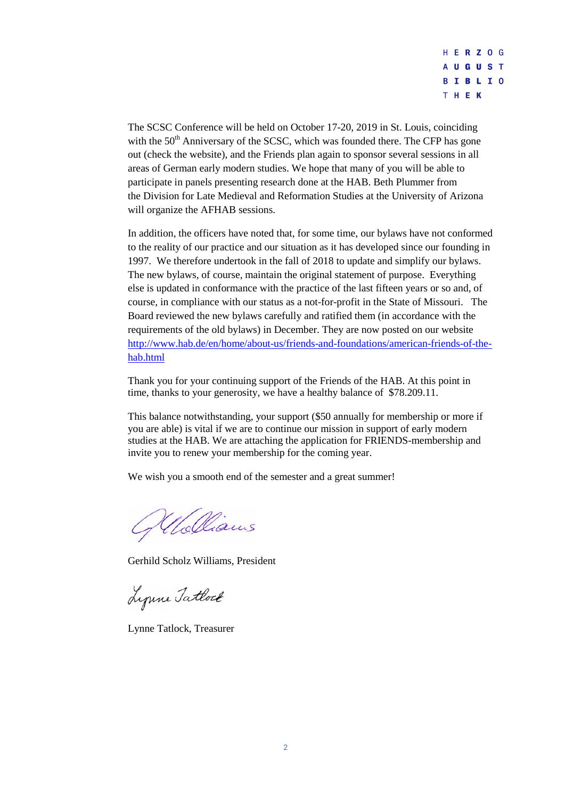

The SCSC Conference will be held on October 17-20, 2019 in St. Louis, coinciding with the  $50<sup>th</sup>$  Anniversary of the SCSC, which was founded there. The CFP has gone out (check the website), and the Friends plan again to sponsor several sessions in all areas of German early modern studies. We hope that many of you will be able to participate in panels presenting research done at the HAB. Beth Plummer from the Division for Late Medieval and Reformation Studies at the University of Arizona will organize the AFHAB sessions.

In addition, the officers have noted that, for some time, our bylaws have not conformed to the reality of our practice and our situation as it has developed since our founding in 1997. We therefore undertook in the fall of 2018 to update and simplify our bylaws. The new bylaws, of course, maintain the original statement of purpose. Everything else is updated in conformance with the practice of the last fifteen years or so and, of course, in compliance with our status as a not-for-profit in the State of Missouri. The Board reviewed the new bylaws carefully and ratified them (in accordance with the requirements of the old bylaws) in December. They are now posted on our website [http://www.hab.de/en/home/about-us/friends-and-foundations/american-friends-of-the](http://www.hab.de/en/home/about-us/friends-and-foundations/american-friends-of-the-hab.html)[hab.html](http://www.hab.de/en/home/about-us/friends-and-foundations/american-friends-of-the-hab.html)

Thank you for your continuing support of the Friends of the HAB. At this point in time, thanks to your generosity, we have a healthy balance of \$78.209.11.

This balance notwithstanding, your support (\$50 annually for membership or more if you are able) is vital if we are to continue our mission in support of early modern studies at the HAB. We are attaching the application for FRIENDS-membership and invite you to renew your membership for the coming year.

We wish you a smooth end of the semester and a great summer!

Welliams

Gerhild Scholz Williams, President

Lynne Tatlock

Lynne Tatlock, Treasurer